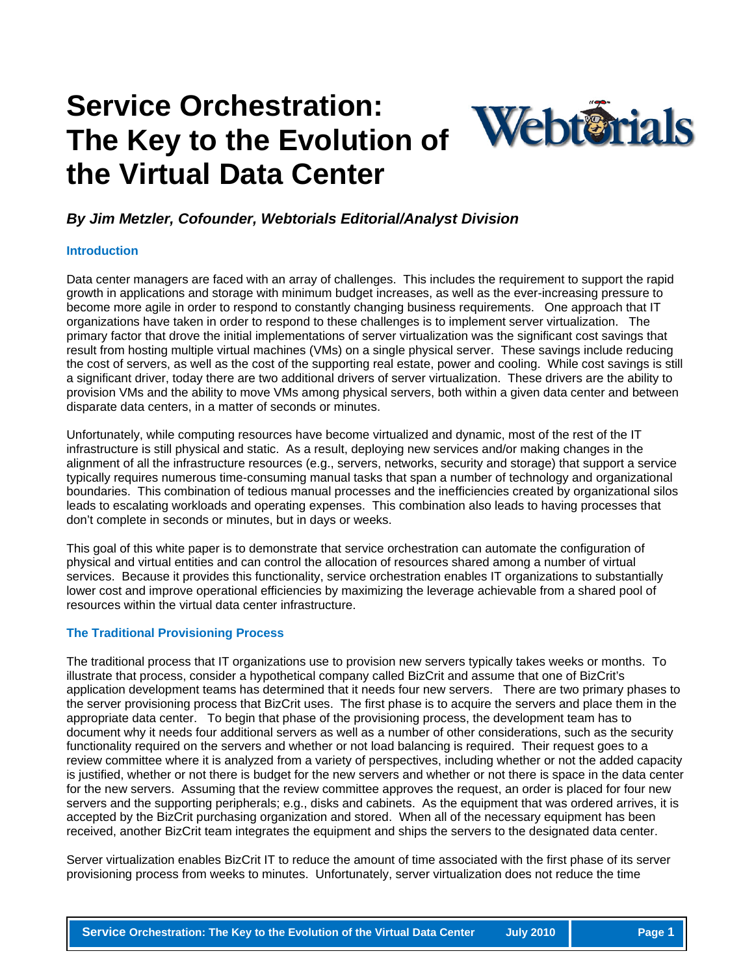# **Service Orchestration: The Key to the Evolution of the Virtual Data Center**



### *By Jim Metzler, Cofounder, Webtorials Editorial/Analyst Division*

#### **Introduction**

Data center managers are faced with an array of challenges. This includes the requirement to support the rapid growth in applications and storage with minimum budget increases, as well as the ever-increasing pressure to become more agile in order to respond to constantly changing business requirements. One approach that IT organizations have taken in order to respond to these challenges is to implement server virtualization. The primary factor that drove the initial implementations of server virtualization was the significant cost savings that result from hosting multiple virtual machines (VMs) on a single physical server. These savings include reducing the cost of servers, as well as the cost of the supporting real estate, power and cooling. While cost savings is still a significant driver, today there are two additional drivers of server virtualization. These drivers are the ability to provision VMs and the ability to move VMs among physical servers, both within a given data center and between disparate data centers, in a matter of seconds or minutes.

Unfortunately, while computing resources have become virtualized and dynamic, most of the rest of the IT infrastructure is still physical and static. As a result, deploying new services and/or making changes in the alignment of all the infrastructure resources (e.g., servers, networks, security and storage) that support a service typically requires numerous time-consuming manual tasks that span a number of technology and organizational boundaries. This combination of tedious manual processes and the inefficiencies created by organizational silos leads to escalating workloads and operating expenses. This combination also leads to having processes that don't complete in seconds or minutes, but in days or weeks.

This goal of this white paper is to demonstrate that service orchestration can automate the configuration of physical and virtual entities and can control the allocation of resources shared among a number of virtual services. Because it provides this functionality, service orchestration enables IT organizations to substantially lower cost and improve operational efficiencies by maximizing the leverage achievable from a shared pool of resources within the virtual data center infrastructure.

#### **The Traditional Provisioning Process**

The traditional process that IT organizations use to provision new servers typically takes weeks or months. To illustrate that process, consider a hypothetical company called BizCrit and assume that one of BizCrit's application development teams has determined that it needs four new servers. There are two primary phases to the server provisioning process that BizCrit uses. The first phase is to acquire the servers and place them in the appropriate data center. To begin that phase of the provisioning process, the development team has to document why it needs four additional servers as well as a number of other considerations, such as the security functionality required on the servers and whether or not load balancing is required. Their request goes to a review committee where it is analyzed from a variety of perspectives, including whether or not the added capacity is justified, whether or not there is budget for the new servers and whether or not there is space in the data center for the new servers. Assuming that the review committee approves the request, an order is placed for four new servers and the supporting peripherals; e.g., disks and cabinets. As the equipment that was ordered arrives, it is accepted by the BizCrit purchasing organization and stored. When all of the necessary equipment has been received, another BizCrit team integrates the equipment and ships the servers to the designated data center.

Server virtualization enables BizCrit IT to reduce the amount of time associated with the first phase of its server provisioning process from weeks to minutes. Unfortunately, server virtualization does not reduce the time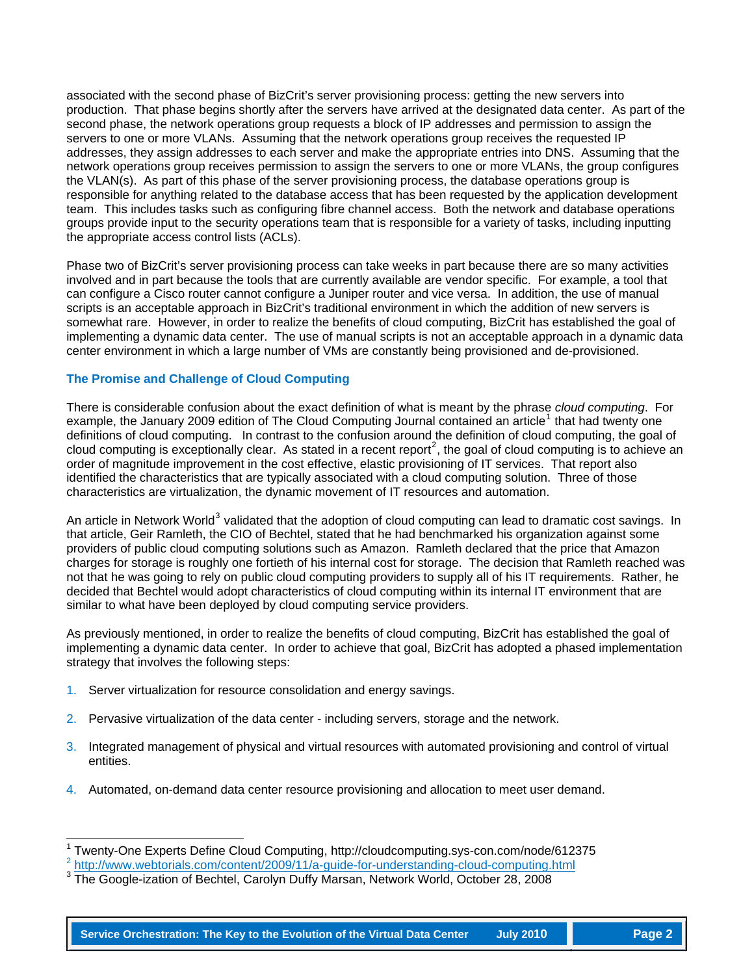associated with the second phase of BizCrit's server provisioning process: getting the new servers into production. That phase begins shortly after the servers have arrived at the designated data center. As part of the second phase, the network operations group requests a block of IP addresses and permission to assign the servers to one or more VLANs. Assuming that the network operations group receives the requested IP addresses, they assign addresses to each server and make the appropriate entries into DNS. Assuming that the network operations group receives permission to assign the servers to one or more VLANs, the group configures the VLAN(s). As part of this phase of the server provisioning process, the database operations group is responsible for anything related to the database access that has been requested by the application development team. This includes tasks such as configuring fibre channel access. Both the network and database operations groups provide input to the security operations team that is responsible for a variety of tasks, including inputting the appropriate access control lists (ACLs).

Phase two of BizCrit's server provisioning process can take weeks in part because there are so many activities involved and in part because the tools that are currently available are vendor specific. For example, a tool that can configure a Cisco router cannot configure a Juniper router and vice versa. In addition, the use of manual scripts is an acceptable approach in BizCrit's traditional environment in which the addition of new servers is somewhat rare. However, in order to realize the benefits of cloud computing, BizCrit has established the goal of implementing a dynamic data center. The use of manual scripts is not an acceptable approach in a dynamic data center environment in which a large number of VMs are constantly being provisioned and de-provisioned.

#### **The Promise and Challenge of Cloud Computing**

There is considerable confusion about the exact definition of what is meant by the phrase *cloud computing*. For example, the January 2009 edition of The Cloud Computing Journal contained an article<sup>[1](#page-1-0)</sup> that had twenty one definitions of cloud computing. In contrast to the confusion around the definition of cloud computing, the goal of cloud computing is exceptionally clear. As stated in a recent report<sup>[2](#page-1-1)</sup>, the goal of cloud computing is to achieve an order of magnitude improvement in the cost effective, elastic provisioning of IT services. That report also identified the characteristics that are typically associated with a cloud computing solution. Three of those characteristics are virtualization, the dynamic movement of IT resources and automation.

An article in Network World<sup>[3](#page-1-2)</sup> validated that the adoption of cloud computing can lead to dramatic cost savings. In that article, Geir Ramleth, the CIO of Bechtel, stated that he had benchmarked his organization against some providers of public cloud computing solutions such as Amazon. Ramleth declared that the price that Amazon charges for storage is roughly one fortieth of his internal cost for storage. The decision that Ramleth reached was not that he was going to rely on public cloud computing providers to supply all of his IT requirements. Rather, he decided that Bechtel would adopt characteristics of cloud computing within its internal IT environment that are similar to what have been deployed by cloud computing service providers.

As previously mentioned, in order to realize the benefits of cloud computing, BizCrit has established the goal of implementing a dynamic data center. In order to achieve that goal, BizCrit has adopted a phased implementation strategy that involves the following steps:

- 1. Server virtualization for resource consolidation and energy savings.
- 2. Pervasive virtualization of the data center including servers, storage and the network.
- 3. Integrated management of physical and virtual resources with automated provisioning and control of virtual entities.
- 4. Automated, on-demand data center resource provisioning and allocation to meet user demand.

<span id="page-1-0"></span> $\overline{\phantom{a}}$ 1 <sup>1</sup> Twenty-One Experts Define Cloud Computing, http://cloudcomputing.sys-con.com/node/612375  $^2$  <u><http://www.webtorials.com/content/2009/11/a-guide-for-understanding-cloud-computing.html></u>

<span id="page-1-2"></span><span id="page-1-1"></span>The Google-ization of Bechtel, Carolyn Duffy Marsan, Network World, October 28, 2008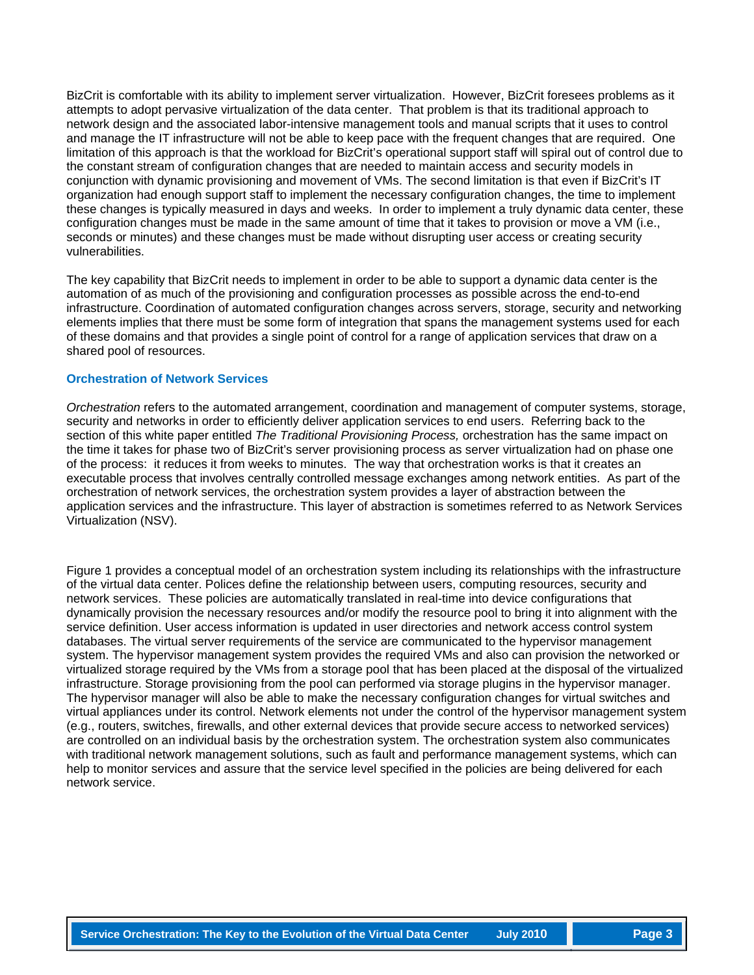BizCrit is comfortable with its ability to implement server virtualization. However, BizCrit foresees problems as it attempts to adopt pervasive virtualization of the data center. That problem is that its traditional approach to network design and the associated labor-intensive management tools and manual scripts that it uses to control and manage the IT infrastructure will not be able to keep pace with the frequent changes that are required. One limitation of this approach is that the workload for BizCrit's operational support staff will spiral out of control due to the constant stream of configuration changes that are needed to maintain access and security models in conjunction with dynamic provisioning and movement of VMs. The second limitation is that even if BizCrit's IT organization had enough support staff to implement the necessary configuration changes, the time to implement these changes is typically measured in days and weeks. In order to implement a truly dynamic data center, these configuration changes must be made in the same amount of time that it takes to provision or move a VM (i.e., seconds or minutes) and these changes must be made without disrupting user access or creating security vulnerabilities.

The key capability that BizCrit needs to implement in order to be able to support a dynamic data center is the automation of as much of the provisioning and configuration processes as possible across the end-to-end infrastructure. Coordination of automated configuration changes across servers, storage, security and networking elements implies that there must be some form of integration that spans the management systems used for each of these domains and that provides a single point of control for a range of application services that draw on a shared pool of resources.

#### **Orchestration of Network Services**

*Orchestration* refers to the automated arrangement, coordination and management of computer systems, storage, security and networks in order to efficiently deliver application services to end users. Referring back to the section of this white paper entitled *The Traditional Provisioning Process,* orchestration has the same impact on the time it takes for phase two of BizCrit's server provisioning process as server virtualization had on phase one of the process: it reduces it from weeks to minutes. The way that orchestration works is that it creates an executable process that involves centrally controlled message exchanges among network entities. As part of the orchestration of network services, the orchestration system provides a layer of abstraction between the application services and the infrastructure. This layer of abstraction is sometimes referred to as Network Services Virtualization (NSV).

Figure 1 provides a conceptual model of an orchestration system including its relationships with the infrastructure of the virtual data center. Polices define the relationship between users, computing resources, security and network services. These policies are automatically translated in real-time into device configurations that dynamically provision the necessary resources and/or modify the resource pool to bring it into alignment with the service definition. User access information is updated in user directories and network access control system databases. The virtual server requirements of the service are communicated to the hypervisor management system. The hypervisor management system provides the required VMs and also can provision the networked or virtualized storage required by the VMs from a storage pool that has been placed at the disposal of the virtualized infrastructure. Storage provisioning from the pool can performed via storage plugins in the hypervisor manager. The hypervisor manager will also be able to make the necessary configuration changes for virtual switches and virtual appliances under its control. Network elements not under the control of the hypervisor management system (e.g., routers, switches, firewalls, and other external devices that provide secure access to networked services) are controlled on an individual basis by the orchestration system. The orchestration system also communicates with traditional network management solutions, such as fault and performance management systems, which can help to monitor services and assure that the service level specified in the policies are being delivered for each network service.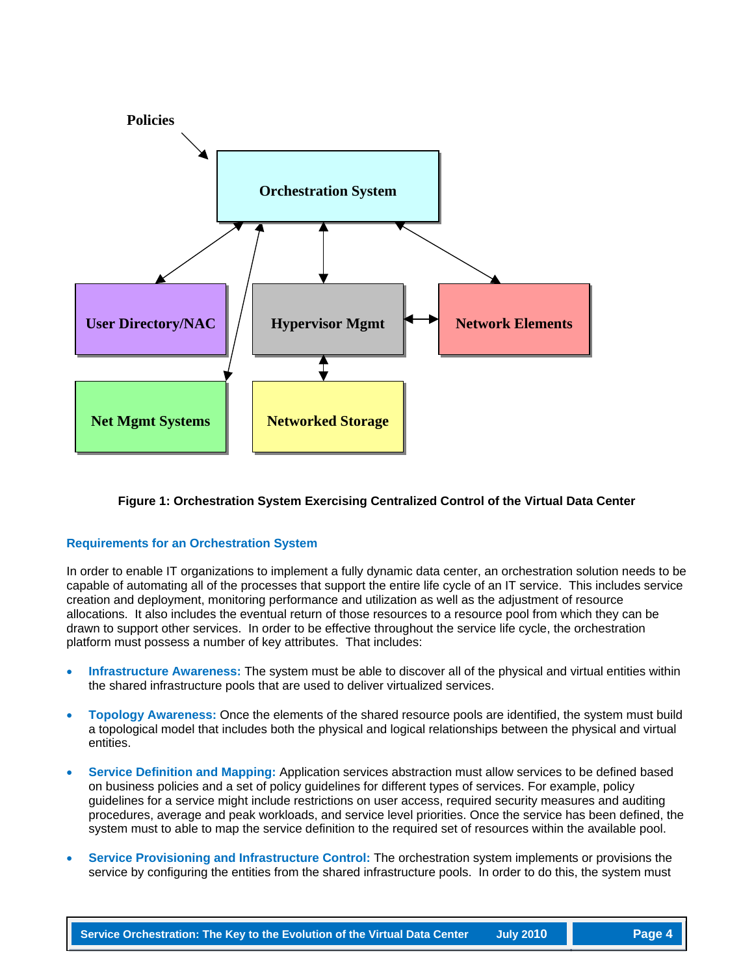

#### **Figure 1: Orchestration System Exercising Centralized Control of the Virtual Data Center**

#### **Requirements for an Orchestration System**

In order to enable IT organizations to implement a fully dynamic data center, an orchestration solution needs to be capable of automating all of the processes that support the entire life cycle of an IT service. This includes service creation and deployment, monitoring performance and utilization as well as the adjustment of resource allocations. It also includes the eventual return of those resources to a resource pool from which they can be drawn to support other services. In order to be effective throughout the service life cycle, the orchestration platform must possess a number of key attributes. That includes:

- **Infrastructure Awareness:** The system must be able to discover all of the physical and virtual entities within the shared infrastructure pools that are used to deliver virtualized services.
- **Topology Awareness:** Once the elements of the shared resource pools are identified, the system must build a topological model that includes both the physical and logical relationships between the physical and virtual entities.
- **Service Definition and Mapping:** Application services abstraction must allow services to be defined based on business policies and a set of policy guidelines for different types of services. For example, policy guidelines for a service might include restrictions on user access, required security measures and auditing procedures, average and peak workloads, and service level priorities. Once the service has been defined, the system must to able to map the service definition to the required set of resources within the available pool.
- **Service Provisioning and Infrastructure Control:** The orchestration system implements or provisions the service by configuring the entities from the shared infrastructure pools. In order to do this, the system must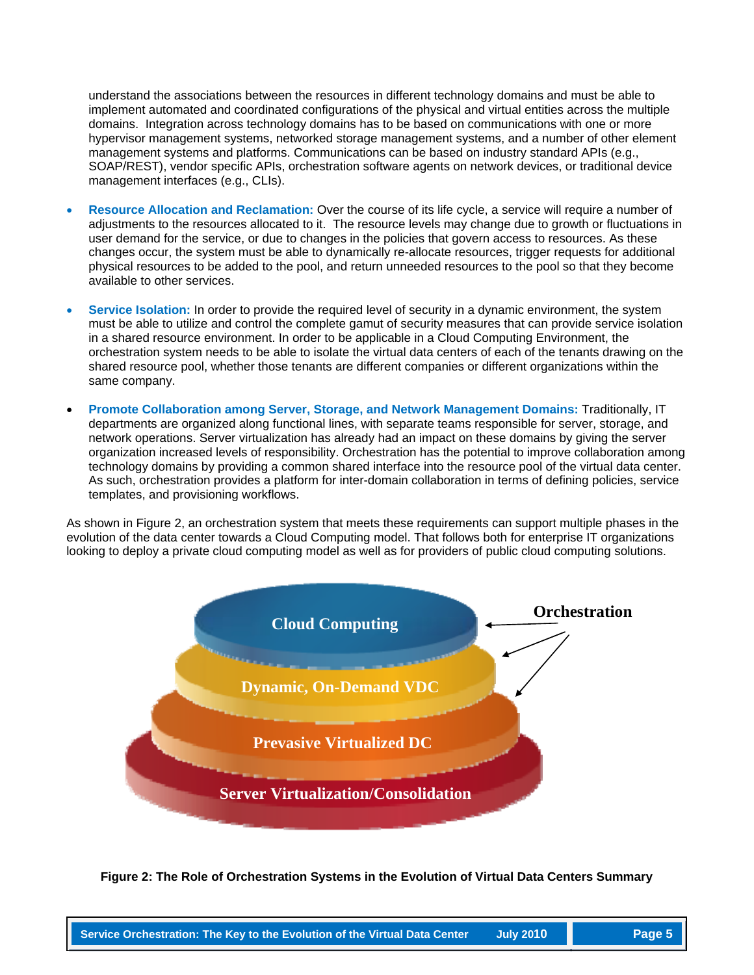understand the associations between the resources in different technology domains and must be able to implement automated and coordinated configurations of the physical and virtual entities across the multiple domains. Integration across technology domains has to be based on communications with one or more hypervisor management systems, networked storage management systems, and a number of other element management systems and platforms. Communications can be based on industry standard APIs (e.g., SOAP/REST), vendor specific APIs, orchestration software agents on network devices, or traditional device management interfaces (e.g., CLIs).

- **Resource Allocation and Reclamation:** Over the course of its life cycle, a service will require a number of adjustments to the resources allocated to it. The resource levels may change due to growth or fluctuations in user demand for the service, or due to changes in the policies that govern access to resources. As these changes occur, the system must be able to dynamically re-allocate resources, trigger requests for additional physical resources to be added to the pool, and return unneeded resources to the pool so that they become available to other services.
- **Service Isolation:** In order to provide the required level of security in a dynamic environment, the system must be able to utilize and control the complete gamut of security measures that can provide service isolation in a shared resource environment. In order to be applicable in a Cloud Computing Environment, the orchestration system needs to be able to isolate the virtual data centers of each of the tenants drawing on the shared resource pool, whether those tenants are different companies or different organizations within the same company.
- **Promote Collaboration among Server, Storage, and Network Management Domains:** Traditionally, IT departments are organized along functional lines, with separate teams responsible for server, storage, and network operations. Server virtualization has already had an impact on these domains by giving the server organization increased levels of responsibility. Orchestration has the potential to improve collaboration among technology domains by providing a common shared interface into the resource pool of the virtual data center. As such, orchestration provides a platform for inter-domain collaboration in terms of defining policies, service templates, and provisioning workflows.

As shown in Figure 2, an orchestration system that meets these requirements can support multiple phases in the evolution of the data center towards a Cloud Computing model. That follows both for enterprise IT organizations looking to deploy a private cloud computing model as well as for providers of public cloud computing solutions.



**Figure 2: The Role of Orchestration Systems in the Evolution of Virtual Data Centers Summary**